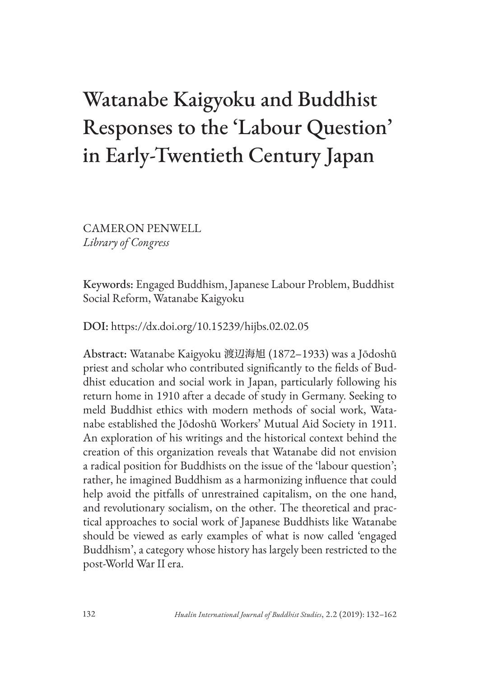# Watanabe Kaigyoku and Buddhist Responses to the 'Labour Question' in Early-Twentieth Century Japan

CAMERON PENWELL *Library of Congress*

Keywords: Engaged Buddhism, Japanese Labour Problem, Buddhist Social Reform, Watanabe Kaigyoku

DOI: https://dx.doi.org/10.15239/hijbs.02.02.05

Abstract: Watanabe Kaigyoku 渡辺海旭 (1872–1933) was a Jōdoshū priest and scholar who contributed significantly to the fields of Buddhist education and social work in Japan, particularly following his return home in 1910 after a decade of study in Germany. Seeking to meld Buddhist ethics with modern methods of social work, Watanabe established the Jōdoshū Workers' Mutual Aid Society in 1911. An exploration of his writings and the historical context behind the creation of this organization reveals that Watanabe did not envision a radical position for Buddhists on the issue of the 'labour question'; rather, he imagined Buddhism as a harmonizing influence that could help avoid the pitfalls of unrestrained capitalism, on the one hand, and revolutionary socialism, on the other. The theoretical and practical approaches to social work of Japanese Buddhists like Watanabe should be viewed as early examples of what is now called 'engaged Buddhism', a category whose history has largely been restricted to the post-World War II era.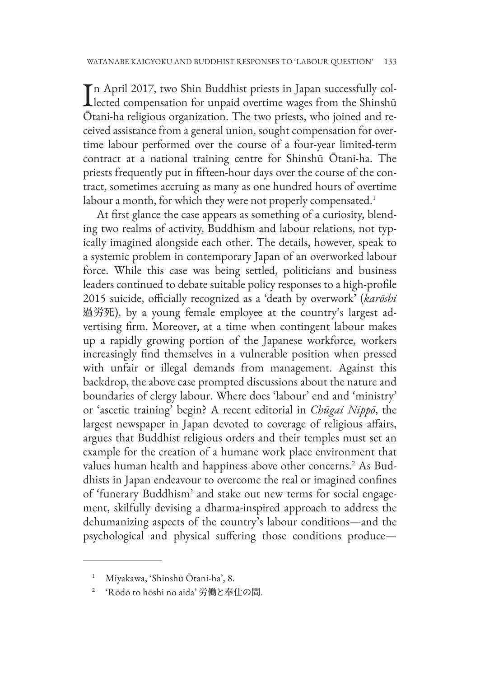In April 2017, two Shin Buddhist priests in Japan successfully collected compensation for unpaid overtime wages from the Shinshū n April 2017, two Shin Buddhist priests in Japan successfully col-Ōtani-ha religious organization. The two priests, who joined and received assistance from a general union, sought compensation for overtime labour performed over the course of a four-year limited-term contract at a national training centre for Shinshū Ōtani-ha. The priests frequently put in fifteen-hour days over the course of the contract, sometimes accruing as many as one hundred hours of overtime labour a month, for which they were not properly compensated.<sup>1</sup>

At first glance the case appears as something of a curiosity, blending two realms of activity, Buddhism and labour relations, not typically imagined alongside each other. The details, however, speak to a systemic problem in contemporary Japan of an overworked labour force. While this case was being settled, politicians and business leaders continued to debate suitable policy responses to a high-profile 2015 suicide, officially recognized as a 'death by overwork' (*karōshi*  過労死), by a young female employee at the country's largest advertising firm. Moreover, at a time when contingent labour makes up a rapidly growing portion of the Japanese workforce, workers increasingly find themselves in a vulnerable position when pressed with unfair or illegal demands from management. Against this backdrop, the above case prompted discussions about the nature and boundaries of clergy labour. Where does 'labour' end and 'ministry' or 'ascetic training' begin? A recent editorial in *Chūgai Nippō*, the largest newspaper in Japan devoted to coverage of religious affairs, argues that Buddhist religious orders and their temples must set an example for the creation of a humane work place environment that values human health and happiness above other concerns.2 As Buddhists in Japan endeavour to overcome the real or imagined confines of 'funerary Buddhism' and stake out new terms for social engagement, skilfully devising a dharma-inspired approach to address the dehumanizing aspects of the country's labour conditions—and the psychological and physical suffering those conditions produce—

<sup>1</sup> Miyakawa, 'Shinshū Ōtani-ha', 8.

<sup>2</sup> 'Rōdō to hōshi no aida' 労働と奉仕の間.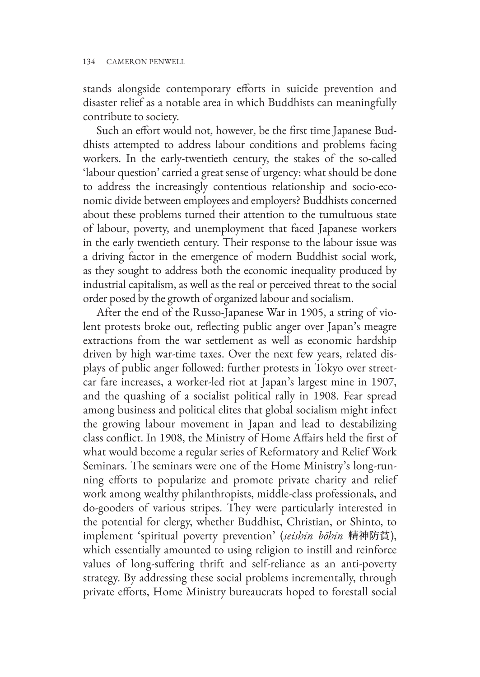stands alongside contemporary efforts in suicide prevention and disaster relief as a notable area in which Buddhists can meaningfully contribute to society.

Such an effort would not, however, be the first time Japanese Buddhists attempted to address labour conditions and problems facing workers. In the early-twentieth century, the stakes of the so-called 'labour question' carried a great sense of urgency: what should be done to address the increasingly contentious relationship and socio-economic divide between employees and employers? Buddhists concerned about these problems turned their attention to the tumultuous state of labour, poverty, and unemployment that faced Japanese workers in the early twentieth century. Their response to the labour issue was a driving factor in the emergence of modern Buddhist social work, as they sought to address both the economic inequality produced by industrial capitalism, as well as the real or perceived threat to the social order posed by the growth of organized labour and socialism.

After the end of the Russo-Japanese War in 1905, a string of violent protests broke out, reflecting public anger over Japan's meagre extractions from the war settlement as well as economic hardship driven by high war-time taxes. Over the next few years, related displays of public anger followed: further protests in Tokyo over streetcar fare increases, a worker-led riot at Japan's largest mine in 1907, and the quashing of a socialist political rally in 1908. Fear spread among business and political elites that global socialism might infect the growing labour movement in Japan and lead to destabilizing class conflict. In 1908, the Ministry of Home Affairs held the first of what would become a regular series of Reformatory and Relief Work Seminars. The seminars were one of the Home Ministry's long-running efforts to popularize and promote private charity and relief work among wealthy philanthropists, middle-class professionals, and do-gooders of various stripes. They were particularly interested in the potential for clergy, whether Buddhist, Christian, or Shinto, to implement 'spiritual poverty prevention' (*seishin bōhin* 精神防貧), which essentially amounted to using religion to instill and reinforce values of long-suffering thrift and self-reliance as an anti-poverty strategy. By addressing these social problems incrementally, through private efforts, Home Ministry bureaucrats hoped to forestall social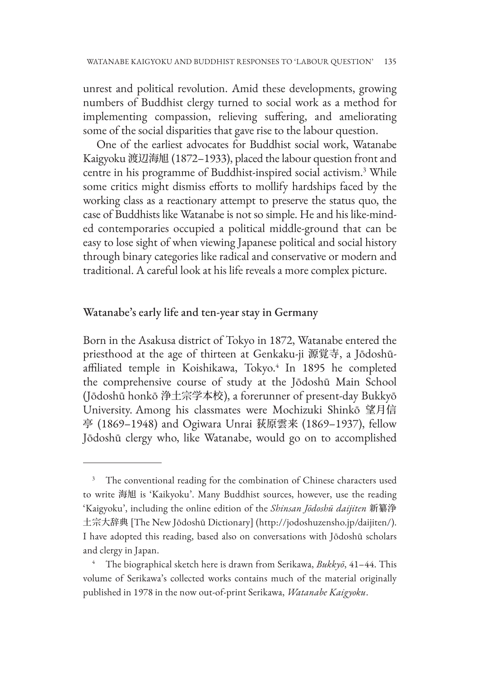unrest and political revolution. Amid these developments, growing numbers of Buddhist clergy turned to social work as a method for implementing compassion, relieving suffering, and ameliorating some of the social disparities that gave rise to the labour question.

One of the earliest advocates for Buddhist social work, Watanabe Kaigyoku 渡辺海旭 (1872–1933), placed the labour question front and centre in his programme of Buddhist-inspired social activism.3 While some critics might dismiss efforts to mollify hardships faced by the working class as a reactionary attempt to preserve the status quo, the case of Buddhists like Watanabe is not so simple. He and his like-minded contemporaries occupied a political middle-ground that can be easy to lose sight of when viewing Japanese political and social history through binary categories like radical and conservative or modern and traditional. A careful look at his life reveals a more complex picture.

#### Watanabe's early life and ten-year stay in Germany

Born in the Asakusa district of Tokyo in 1872, Watanabe entered the priesthood at the age of thirteen at Genkaku-ji 源覚寺, a Jōdoshūaffiliated temple in Koishikawa, Tokyo.<sup>4</sup> In 1895 he completed the comprehensive course of study at the Jōdoshū Main School (Jōdoshū honkō 浄土宗学本校), a forerunner of present-day Bukkyō University. Among his classmates were Mochizuki Shinkō 望月信 亭 (1869–1948) and Ogiwara Unrai 荻原雲来 (1869–1937), fellow Jōdoshū clergy who, like Watanabe, would go on to accomplished

<sup>&</sup>lt;sup>3</sup> The conventional reading for the combination of Chinese characters used to write 海旭 is 'Kaikyoku'. Many Buddhist sources, however, use the reading 'Kaigyoku', including the online edition of the *Shinsan Jōdoshū daijiten* 新纂浄 土宗大辞典 [The New Jōdoshū Dictionary] (http://jodoshuzensho.jp/daijiten/). I have adopted this reading, based also on conversations with Jōdoshū scholars and clergy in Japan.

<sup>4</sup> The biographical sketch here is drawn from Serikawa, *Bukkyō*, 41–44. This volume of Serikawa's collected works contains much of the material originally published in 1978 in the now out-of-print Serikawa, *Watanabe Kaigyoku*.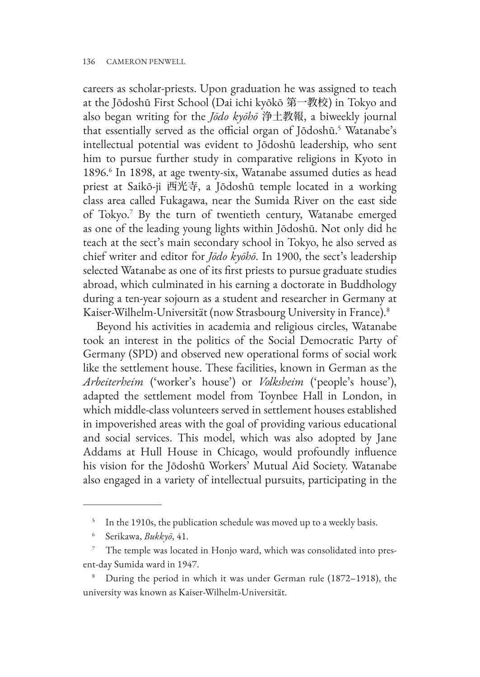careers as scholar-priests. Upon graduation he was assigned to teach at the Jōdoshū First School (Dai ichi kyōkō 第一教校) in Tokyo and also began writing for the *Jōdo kyōhō* 浄土教報, a biweekly journal that essentially served as the official organ of Jōdoshū.5 Watanabe's intellectual potential was evident to Jōdoshū leadership, who sent him to pursue further study in comparative religions in Kyoto in 1896.6 In 1898, at age twenty-six, Watanabe assumed duties as head priest at Saikō-ji 西光寺, a Jōdoshū temple located in a working class area called Fukagawa, near the Sumida River on the east side of Tokyo.7 By the turn of twentieth century, Watanabe emerged as one of the leading young lights within Jōdoshū. Not only did he teach at the sect's main secondary school in Tokyo, he also served as chief writer and editor for *Jōdo kyōhō*. In 1900, the sect's leadership selected Watanabe as one of its first priests to pursue graduate studies abroad, which culminated in his earning a doctorate in Buddhology during a ten-year sojourn as a student and researcher in Germany at Kaiser-Wilhelm-Universität (now Strasbourg University in France).8

Beyond his activities in academia and religious circles, Watanabe took an interest in the politics of the Social Democratic Party of Germany (SPD) and observed new operational forms of social work like the settlement house. These facilities, known in German as the *Arbeiterheim* ('worker's house') or *Volksheim* ('people's house'), adapted the settlement model from Toynbee Hall in London, in which middle-class volunteers served in settlement houses established in impoverished areas with the goal of providing various educational and social services. This model, which was also adopted by Jane Addams at Hull House in Chicago, would profoundly influence his vision for the Jōdoshū Workers' Mutual Aid Society. Watanabe also engaged in a variety of intellectual pursuits, participating in the

In the 1910s, the publication schedule was moved up to a weekly basis.

<sup>6</sup> Serikawa, *Bukkyō*, 41.

<sup>&</sup>lt;sup>7</sup> The temple was located in Honjo ward, which was consolidated into present-day Sumida ward in 1947.

<sup>8</sup> During the period in which it was under German rule (1872–1918), the university was known as Kaiser-Wilhelm-Universität.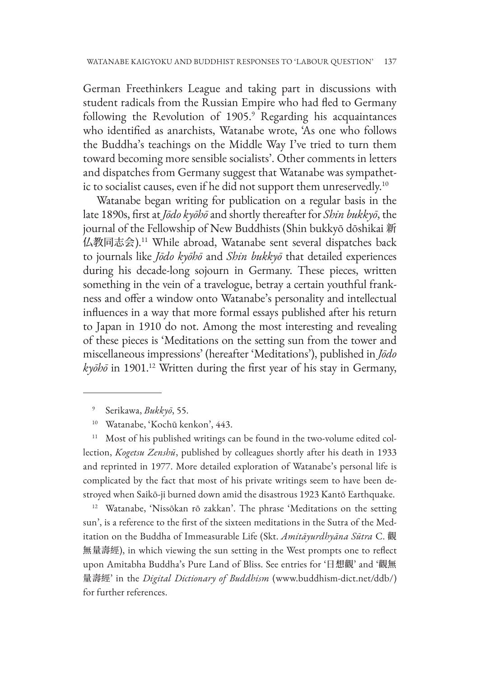German Freethinkers League and taking part in discussions with student radicals from the Russian Empire who had fled to Germany following the Revolution of 1905.<sup>9</sup> Regarding his acquaintances who identified as anarchists, Watanabe wrote, 'As one who follows the Buddha's teachings on the Middle Way I've tried to turn them toward becoming more sensible socialists'. Other comments in letters and dispatches from Germany suggest that Watanabe was sympathetic to socialist causes, even if he did not support them unreservedly.<sup>10</sup>

Watanabe began writing for publication on a regular basis in the late 1890s, first at *Jōdo kyōhō* and shortly thereafter for *Shin bukkyō*, the journal of the Fellowship of New Buddhists (Shin bukkyō dōshikai 新 仏教同志会).11 While abroad, Watanabe sent several dispatches back to journals like *Jōdo kyōhō* and *Shin bukkyō* that detailed experiences during his decade-long sojourn in Germany. These pieces, written something in the vein of a travelogue, betray a certain youthful frankness and offer a window onto Watanabe's personality and intellectual influences in a way that more formal essays published after his return to Japan in 1910 do not. Among the most interesting and revealing of these pieces is 'Meditations on the setting sun from the tower and miscellaneous impressions' (hereafter 'Meditations'), published in *Jōdo kyōhō* in 1901.12 Written during the first year of his stay in Germany,

<sup>12</sup> Watanabe, 'Nissōkan rō zakkan'. The phrase 'Meditations on the setting sun', is a reference to the first of the sixteen meditations in the Sutra of the Meditation on the Buddha of Immeasurable Life (Skt. *Amitāyurdhyāna Sūtra* C. 觀 無量壽經), in which viewing the sun setting in the West prompts one to reflect upon Amitabha Buddha's Pure Land of Bliss. See entries for '日想觀' and '觀無 量壽經' in the *Digital Dictionary of Buddhism* (www.buddhism-dict.net/ddb/) for further references.

<sup>9</sup> Serikawa, *Bukkyō*, 55.

<sup>10</sup> Watanabe, 'Kochū kenkon', 443.

Most of his published writings can be found in the two-volume edited collection, *Kogetsu Zenshū*, published by colleagues shortly after his death in 1933 and reprinted in 1977. More detailed exploration of Watanabe's personal life is complicated by the fact that most of his private writings seem to have been destroyed when Saikō-ji burned down amid the disastrous 1923 Kantō Earthquake.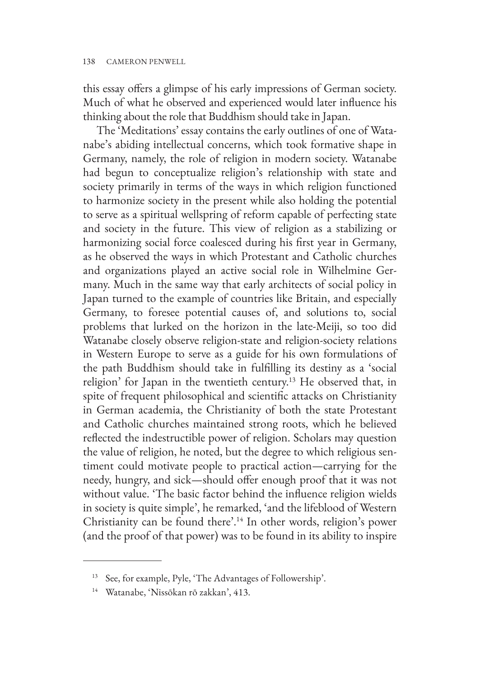this essay offers a glimpse of his early impressions of German society. Much of what he observed and experienced would later influence his thinking about the role that Buddhism should take in Japan.

The 'Meditations' essay contains the early outlines of one of Watanabe's abiding intellectual concerns, which took formative shape in Germany, namely, the role of religion in modern society. Watanabe had begun to conceptualize religion's relationship with state and society primarily in terms of the ways in which religion functioned to harmonize society in the present while also holding the potential to serve as a spiritual wellspring of reform capable of perfecting state and society in the future. This view of religion as a stabilizing or harmonizing social force coalesced during his first year in Germany, as he observed the ways in which Protestant and Catholic churches and organizations played an active social role in Wilhelmine Germany. Much in the same way that early architects of social policy in Japan turned to the example of countries like Britain, and especially Germany, to foresee potential causes of, and solutions to, social problems that lurked on the horizon in the late-Meiji, so too did Watanabe closely observe religion-state and religion-society relations in Western Europe to serve as a guide for his own formulations of the path Buddhism should take in fulfilling its destiny as a 'social religion' for Japan in the twentieth century.<sup>13</sup> He observed that, in spite of frequent philosophical and scientific attacks on Christianity in German academia, the Christianity of both the state Protestant and Catholic churches maintained strong roots, which he believed reflected the indestructible power of religion. Scholars may question the value of religion, he noted, but the degree to which religious sentiment could motivate people to practical action—carrying for the needy, hungry, and sick—should offer enough proof that it was not without value. 'The basic factor behind the influence religion wields in society is quite simple', he remarked, 'and the lifeblood of Western Christianity can be found there'.14 In other words, religion's power (and the proof of that power) was to be found in its ability to inspire

<sup>13</sup> See, for example, Pyle, 'The Advantages of Followership'.

<sup>14</sup> Watanabe, 'Nissōkan rō zakkan', 413.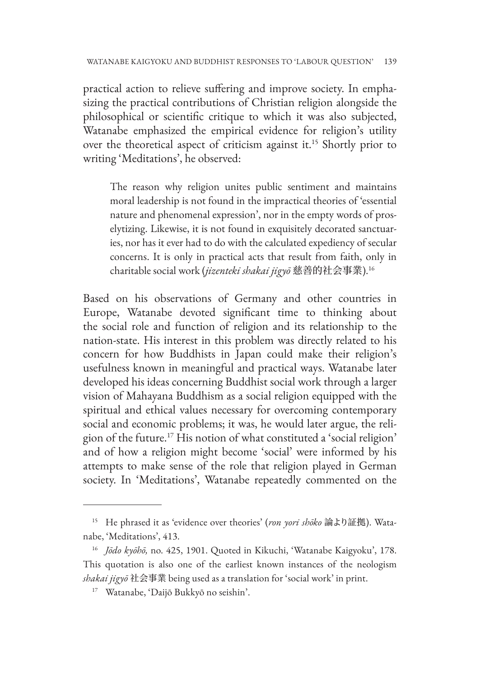practical action to relieve suffering and improve society. In emphasizing the practical contributions of Christian religion alongside the philosophical or scientific critique to which it was also subjected, Watanabe emphasized the empirical evidence for religion's utility over the theoretical aspect of criticism against it.15 Shortly prior to writing 'Meditations', he observed:

The reason why religion unites public sentiment and maintains moral leadership is not found in the impractical theories of 'essential nature and phenomenal expression', nor in the empty words of proselytizing. Likewise, it is not found in exquisitely decorated sanctuaries, nor has it ever had to do with the calculated expediency of secular concerns. It is only in practical acts that result from faith, only in charitable social work (*jizenteki shakai jigyō* 慈善的社会事業).16

Based on his observations of Germany and other countries in Europe, Watanabe devoted significant time to thinking about the social role and function of religion and its relationship to the nation-state. His interest in this problem was directly related to his concern for how Buddhists in Japan could make their religion's usefulness known in meaningful and practical ways. Watanabe later developed his ideas concerning Buddhist social work through a larger vision of Mahayana Buddhism as a social religion equipped with the spiritual and ethical values necessary for overcoming contemporary social and economic problems; it was, he would later argue, the religion of the future.17 His notion of what constituted a 'social religion' and of how a religion might become 'social' were informed by his attempts to make sense of the role that religion played in German society. In 'Meditations', Watanabe repeatedly commented on the

<sup>15</sup> He phrased it as 'evidence over theories' (*ron yori shōko* 論より証拠). Watanabe, 'Meditations', 413.

<sup>16</sup> *Jōdo kyōhō,* no. 425, 1901. Quoted in Kikuchi, 'Watanabe Kaigyoku', 178. This quotation is also one of the earliest known instances of the neologism *shakai jigyō* 社会事業 being used as a translation for 'social work' in print.

<sup>17</sup> Watanabe, 'Daijō Bukkyō no seishin'.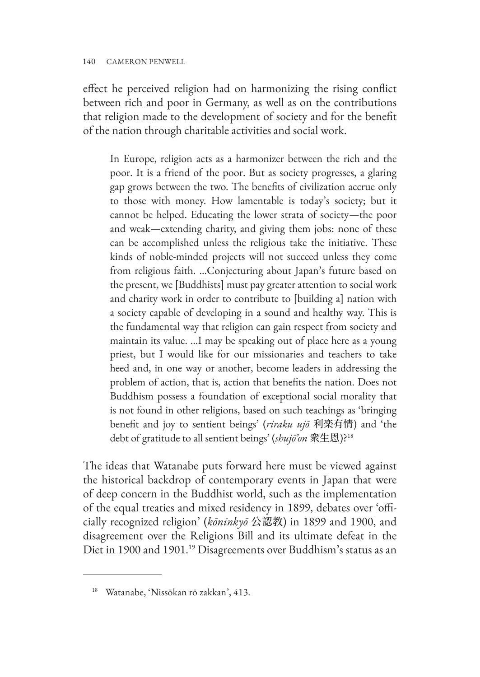#### 140 CAMERON PENWELL

effect he perceived religion had on harmonizing the rising conflict between rich and poor in Germany, as well as on the contributions that religion made to the development of society and for the benefit of the nation through charitable activities and social work.

In Europe, religion acts as a harmonizer between the rich and the poor. It is a friend of the poor. But as society progresses, a glaring gap grows between the two. The benefits of civilization accrue only to those with money. How lamentable is today's society; but it cannot be helped. Educating the lower strata of society—the poor and weak—extending charity, and giving them jobs: none of these can be accomplished unless the religious take the initiative. These kinds of noble-minded projects will not succeed unless they come from religious faith. …Conjecturing about Japan's future based on the present, we [Buddhists] must pay greater attention to social work and charity work in order to contribute to [building a] nation with a society capable of developing in a sound and healthy way. This is the fundamental way that religion can gain respect from society and maintain its value. …I may be speaking out of place here as a young priest, but I would like for our missionaries and teachers to take heed and, in one way or another, become leaders in addressing the problem of action, that is, action that benefits the nation. Does not Buddhism possess a foundation of exceptional social morality that is not found in other religions, based on such teachings as 'bringing benefit and joy to sentient beings' (*riraku ujō* 利楽有情) and 'the debt of gratitude to all sentient beings' (*shujō'on* 衆生恩)?18

The ideas that Watanabe puts forward here must be viewed against the historical backdrop of contemporary events in Japan that were of deep concern in the Buddhist world, such as the implementation of the equal treaties and mixed residency in 1899, debates over 'officially recognized religion' (*kōninkyō* 公認教) in 1899 and 1900, and disagreement over the Religions Bill and its ultimate defeat in the Diet in 1900 and 1901.19 Disagreements over Buddhism's status as an

<sup>18</sup> Watanabe, 'Nissōkan rō zakkan', 413.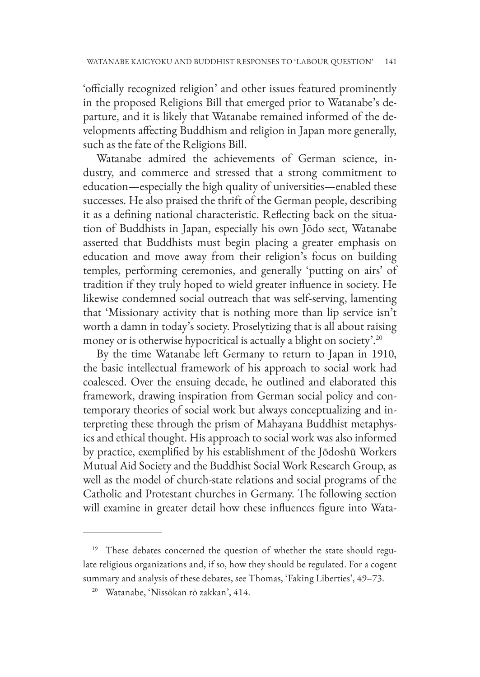'officially recognized religion' and other issues featured prominently in the proposed Religions Bill that emerged prior to Watanabe's departure, and it is likely that Watanabe remained informed of the developments affecting Buddhism and religion in Japan more generally, such as the fate of the Religions Bill.

Watanabe admired the achievements of German science, industry, and commerce and stressed that a strong commitment to education—especially the high quality of universities—enabled these successes. He also praised the thrift of the German people, describing it as a defining national characteristic. Reflecting back on the situation of Buddhists in Japan, especially his own Jōdo sect, Watanabe asserted that Buddhists must begin placing a greater emphasis on education and move away from their religion's focus on building temples, performing ceremonies, and generally 'putting on airs' of tradition if they truly hoped to wield greater influence in society. He likewise condemned social outreach that was self-serving, lamenting that 'Missionary activity that is nothing more than lip service isn't worth a damn in today's society. Proselytizing that is all about raising money or is otherwise hypocritical is actually a blight on society'.<sup>20</sup>

By the time Watanabe left Germany to return to Japan in 1910, the basic intellectual framework of his approach to social work had coalesced. Over the ensuing decade, he outlined and elaborated this framework, drawing inspiration from German social policy and contemporary theories of social work but always conceptualizing and interpreting these through the prism of Mahayana Buddhist metaphysics and ethical thought. His approach to social work was also informed by practice, exemplified by his establishment of the Jōdoshū Workers Mutual Aid Society and the Buddhist Social Work Research Group, as well as the model of church-state relations and social programs of the Catholic and Protestant churches in Germany. The following section will examine in greater detail how these influences figure into Wata-

<sup>&</sup>lt;sup>19</sup> These debates concerned the question of whether the state should regulate religious organizations and, if so, how they should be regulated. For a cogent summary and analysis of these debates, see Thomas, 'Faking Liberties', 49–73.

<sup>20</sup> Watanabe, 'Nissōkan rō zakkan', 414.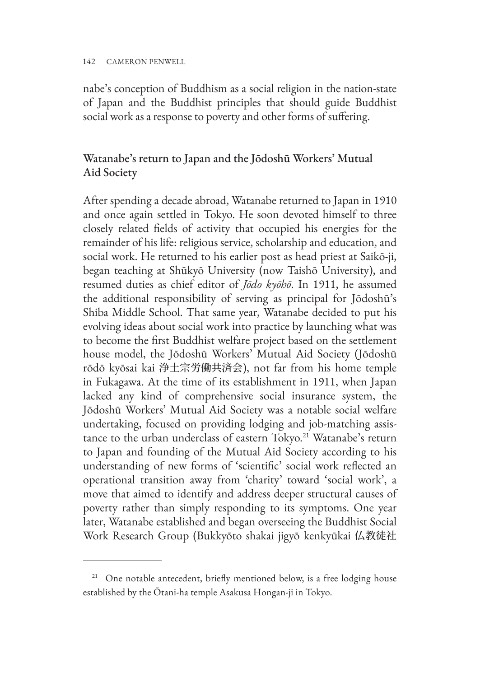nabe's conception of Buddhism as a social religion in the nation-state of Japan and the Buddhist principles that should guide Buddhist social work as a response to poverty and other forms of suffering.

## Watanabe's return to Japan and the Jōdoshū Workers' Mutual Aid Society

After spending a decade abroad, Watanabe returned to Japan in 1910 and once again settled in Tokyo. He soon devoted himself to three closely related fields of activity that occupied his energies for the remainder of his life: religious service, scholarship and education, and social work. He returned to his earlier post as head priest at Saikō-ji, began teaching at Shūkyō University (now Taishō University), and resumed duties as chief editor of *Jōdo kyōhō*. In 1911, he assumed the additional responsibility of serving as principal for Jōdoshū's Shiba Middle School. That same year, Watanabe decided to put his evolving ideas about social work into practice by launching what was to become the first Buddhist welfare project based on the settlement house model, the Jōdoshū Workers' Mutual Aid Society (Jōdoshū rōdō kyōsai kai 浄土宗労働共済会), not far from his home temple in Fukagawa. At the time of its establishment in 1911, when Japan lacked any kind of comprehensive social insurance system, the Jōdoshū Workers' Mutual Aid Society was a notable social welfare undertaking, focused on providing lodging and job-matching assistance to the urban underclass of eastern Tokyo.<sup>21</sup> Watanabe's return to Japan and founding of the Mutual Aid Society according to his understanding of new forms of 'scientific' social work reflected an operational transition away from 'charity' toward 'social work', a move that aimed to identify and address deeper structural causes of poverty rather than simply responding to its symptoms. One year later, Watanabe established and began overseeing the Buddhist Social Work Research Group (Bukkyōto shakai jigyō kenkyūkai 仏教徒社

<sup>&</sup>lt;sup>21</sup> One notable antecedent, briefly mentioned below, is a free lodging house established by the Ōtani-ha temple Asakusa Hongan-ji in Tokyo.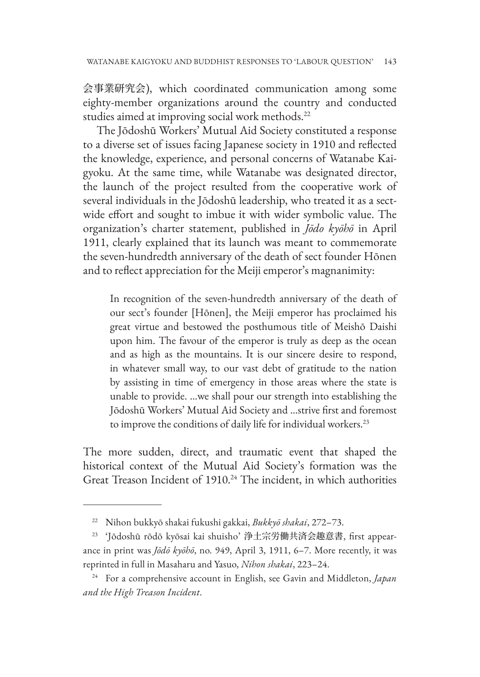会事業研究会), which coordinated communication among some eighty-member organizations around the country and conducted studies aimed at improving social work methods.<sup>22</sup>

The Jōdoshū Workers' Mutual Aid Society constituted a response to a diverse set of issues facing Japanese society in 1910 and reflected the knowledge, experience, and personal concerns of Watanabe Kaigyoku. At the same time, while Watanabe was designated director, the launch of the project resulted from the cooperative work of several individuals in the Jōdoshū leadership, who treated it as a sectwide effort and sought to imbue it with wider symbolic value. The organization's charter statement, published in *Jōdo kyōhō* in April 1911, clearly explained that its launch was meant to commemorate the seven-hundredth anniversary of the death of sect founder Hōnen and to reflect appreciation for the Meiji emperor's magnanimity:

In recognition of the seven-hundredth anniversary of the death of our sect's founder [Hōnen], the Meiji emperor has proclaimed his great virtue and bestowed the posthumous title of Meishō Daishi upon him. The favour of the emperor is truly as deep as the ocean and as high as the mountains. It is our sincere desire to respond, in whatever small way, to our vast debt of gratitude to the nation by assisting in time of emergency in those areas where the state is unable to provide. …we shall pour our strength into establishing the Jōdoshū Workers' Mutual Aid Society and …strive first and foremost to improve the conditions of daily life for individual workers.<sup>23</sup>

The more sudden, direct, and traumatic event that shaped the historical context of the Mutual Aid Society's formation was the Great Treason Incident of 1910.<sup>24</sup> The incident, in which authorities

<sup>22</sup> Nihon bukkyō shakai fukushi gakkai, *Bukkyō shakai*, 272–73.

<sup>23</sup> 'Jōdoshū rōdō kyōsai kai shuisho' 浄土宗労働共済会趣意書, first appearance in print was *Jōdō kyōhō*, no. 949, April 3, 1911, 6–7. More recently, it was reprinted in full in Masaharu and Yasuo, *Nihon shakai*, 223–24.

<sup>24</sup> For a comprehensive account in English, see Gavin and Middleton, *Japan and the High Treason Incident*.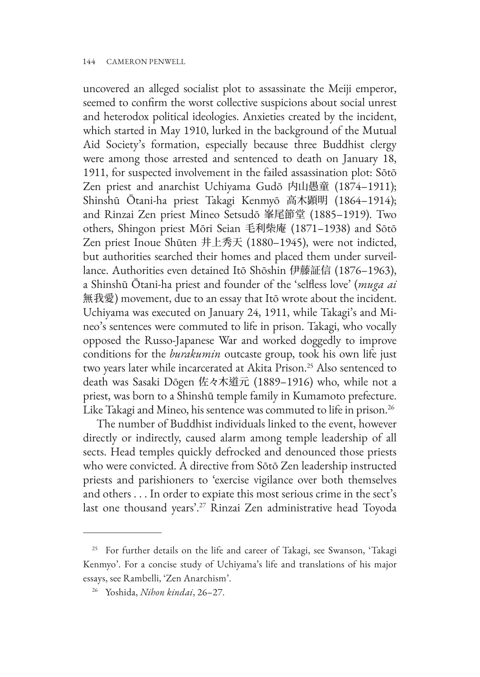uncovered an alleged socialist plot to assassinate the Meiji emperor, seemed to confirm the worst collective suspicions about social unrest and heterodox political ideologies. Anxieties created by the incident, which started in May 1910, lurked in the background of the Mutual Aid Society's formation, especially because three Buddhist clergy were among those arrested and sentenced to death on January 18, 1911, for suspected involvement in the failed assassination plot: Sōtō Zen priest and anarchist Uchiyama Gudō 内山愚童 (1874–1911); Shinshū Ōtani-ha priest Takagi Kenmyō 高木顕明 (1864–1914); and Rinzai Zen priest Mineo Setsudō 峯尾節堂 (1885–1919). Two others, Shingon priest Mōri Seian 毛利柴庵 (1871–1938) and Sōtō Zen priest Inoue Shūten 井上秀天 (1880–1945), were not indicted, but authorities searched their homes and placed them under surveillance. Authorities even detained Itō Shōshin 伊藤証信 (1876–1963), a Shinshū Ōtani-ha priest and founder of the 'selfless love' (*muga ai* 無我愛) movement, due to an essay that Itō wrote about the incident. Uchiyama was executed on January 24, 1911, while Takagi's and Mineo's sentences were commuted to life in prison. Takagi, who vocally opposed the Russo-Japanese War and worked doggedly to improve conditions for the *burakumin* outcaste group, took his own life just two years later while incarcerated at Akita Prison.<sup>25</sup> Also sentenced to death was Sasaki Dōgen 佐々木道元 (1889–1916) who, while not a priest, was born to a Shinshū temple family in Kumamoto prefecture. Like Takagi and Mineo, his sentence was commuted to life in prison.<sup>26</sup>

The number of Buddhist individuals linked to the event, however directly or indirectly, caused alarm among temple leadership of all sects. Head temples quickly defrocked and denounced those priests who were convicted. A directive from Sōtō Zen leadership instructed priests and parishioners to 'exercise vigilance over both themselves and others . . . In order to expiate this most serious crime in the sect's last one thousand years'.27 Rinzai Zen administrative head Toyoda

<sup>&</sup>lt;sup>25</sup> For further details on the life and career of Takagi, see Swanson, 'Takagi Kenmyo'. For a concise study of Uchiyama's life and translations of his major essays, see Rambelli, 'Zen Anarchism'.

<sup>26</sup> Yoshida, *Nihon kindai*, 26–27.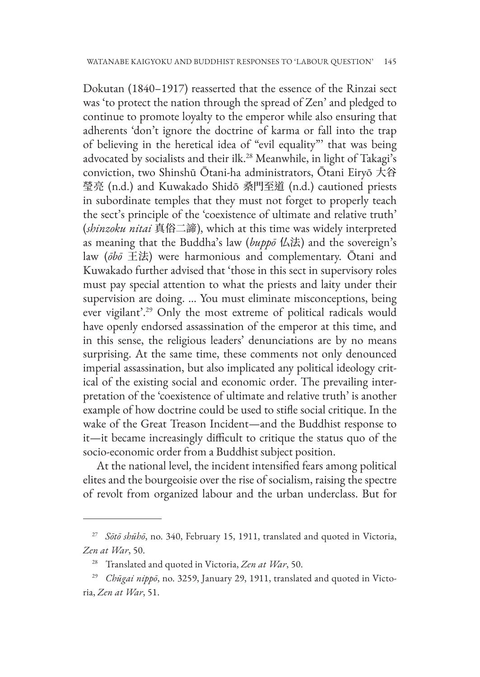Dokutan (1840–1917) reasserted that the essence of the Rinzai sect was 'to protect the nation through the spread of Zen' and pledged to continue to promote loyalty to the emperor while also ensuring that adherents 'don't ignore the doctrine of karma or fall into the trap of believing in the heretical idea of "evil equality"' that was being advocated by socialists and their ilk.<sup>28</sup> Meanwhile, in light of Takagi's conviction, two Shinshū Ōtani-ha administrators, Ōtani Eiryō 大谷 瑩亮 (n.d.) and Kuwakado Shidō 桑門至道 (n.d.) cautioned priests in subordinate temples that they must not forget to properly teach the sect's principle of the 'coexistence of ultimate and relative truth' (*shinzoku nitai* 真俗二諦), which at this time was widely interpreted as meaning that the Buddha's law (*buppō* 仏法) and the sovereign's law (*ōbō* 王法) were harmonious and complementary. Ōtani and Kuwakado further advised that 'those in this sect in supervisory roles must pay special attention to what the priests and laity under their supervision are doing. … You must eliminate misconceptions, being ever vigilant'.29 Only the most extreme of political radicals would have openly endorsed assassination of the emperor at this time, and in this sense, the religious leaders' denunciations are by no means surprising. At the same time, these comments not only denounced imperial assassination, but also implicated any political ideology critical of the existing social and economic order. The prevailing interpretation of the 'coexistence of ultimate and relative truth' is another example of how doctrine could be used to stifle social critique. In the wake of the Great Treason Incident—and the Buddhist response to it—it became increasingly difficult to critique the status quo of the socio-economic order from a Buddhist subject position.

At the national level, the incident intensified fears among political elites and the bourgeoisie over the rise of socialism, raising the spectre of revolt from organized labour and the urban underclass. But for

<sup>27</sup> *Sōtō shūhō*, no. 340, February 15, 1911, translated and quoted in Victoria, *Zen at War*, 50.

<sup>28</sup> Translated and quoted in Victoria, *Zen at War*, 50.

<sup>29</sup> *Chūgai nippō*, no. 3259, January 29, 1911, translated and quoted in Victoria, *Zen at War*, 51.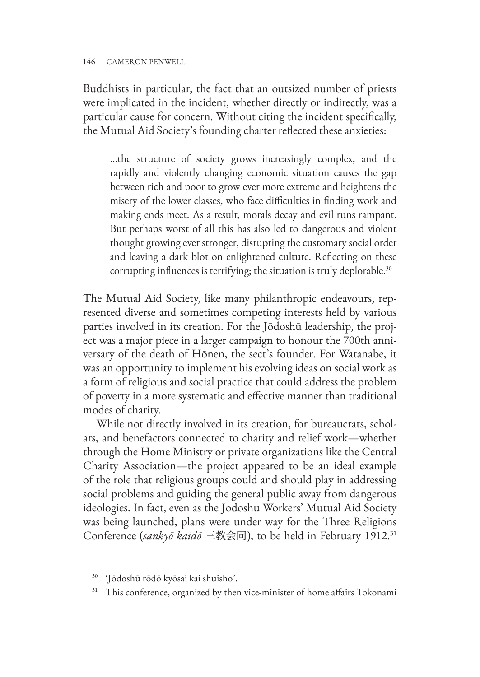Buddhists in particular, the fact that an outsized number of priests were implicated in the incident, whether directly or indirectly, was a particular cause for concern. Without citing the incident specifically, the Mutual Aid Society's founding charter reflected these anxieties:

...the structure of society grows increasingly complex, and the rapidly and violently changing economic situation causes the gap between rich and poor to grow ever more extreme and heightens the misery of the lower classes, who face difficulties in finding work and making ends meet. As a result, morals decay and evil runs rampant. But perhaps worst of all this has also led to dangerous and violent thought growing ever stronger, disrupting the customary social order and leaving a dark blot on enlightened culture. Reflecting on these corrupting influences is terrifying; the situation is truly deplorable.<sup>30</sup>

The Mutual Aid Society, like many philanthropic endeavours, represented diverse and sometimes competing interests held by various parties involved in its creation. For the Jōdoshū leadership, the project was a major piece in a larger campaign to honour the 700th anniversary of the death of Hōnen, the sect's founder. For Watanabe, it was an opportunity to implement his evolving ideas on social work as a form of religious and social practice that could address the problem of poverty in a more systematic and effective manner than traditional modes of charity.

While not directly involved in its creation, for bureaucrats, scholars, and benefactors connected to charity and relief work—whether through the Home Ministry or private organizations like the Central Charity Association—the project appeared to be an ideal example of the role that religious groups could and should play in addressing social problems and guiding the general public away from dangerous ideologies. In fact, even as the Jōdoshū Workers' Mutual Aid Society was being launched, plans were under way for the Three Religions Conference (*sankyō kaidō* 三教会同), to be held in February 1912.31

<sup>30</sup> 'Jōdoshū rōdō kyōsai kai shuisho'.

<sup>&</sup>lt;sup>31</sup> This conference, organized by then vice-minister of home affairs Tokonami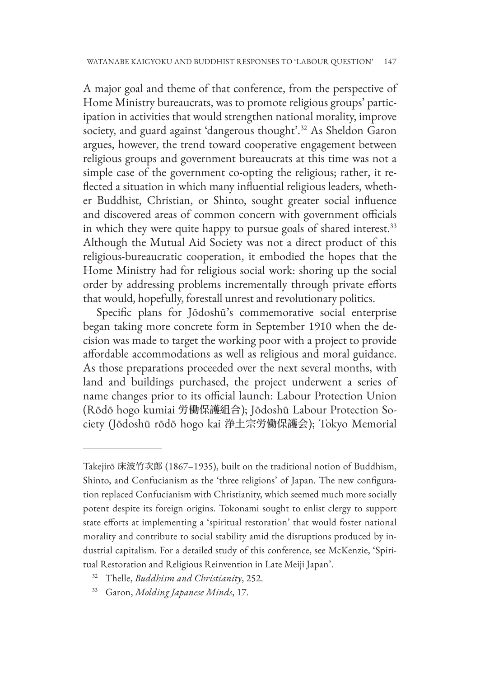A major goal and theme of that conference, from the perspective of Home Ministry bureaucrats, was to promote religious groups' participation in activities that would strengthen national morality, improve society, and guard against 'dangerous thought'.<sup>32</sup> As Sheldon Garon argues, however, the trend toward cooperative engagement between religious groups and government bureaucrats at this time was not a simple case of the government co-opting the religious; rather, it reflected a situation in which many influential religious leaders, whether Buddhist, Christian, or Shinto, sought greater social influence and discovered areas of common concern with government officials in which they were quite happy to pursue goals of shared interest.<sup>33</sup> Although the Mutual Aid Society was not a direct product of this religious-bureaucratic cooperation, it embodied the hopes that the Home Ministry had for religious social work: shoring up the social order by addressing problems incrementally through private efforts that would, hopefully, forestall unrest and revolutionary politics.

Specific plans for Jōdoshū's commemorative social enterprise began taking more concrete form in September 1910 when the decision was made to target the working poor with a project to provide affordable accommodations as well as religious and moral guidance. As those preparations proceeded over the next several months, with land and buildings purchased, the project underwent a series of name changes prior to its official launch: Labour Protection Union (Rōdō hogo kumiai 労働保護組合); Jōdoshū Labour Protection Society (Jōdoshū rōdō hogo kai 浄土宗労働保護会); Tokyo Memorial

- <sup>32</sup> Thelle, *Buddhism and Christianity*, 252.
- <sup>33</sup> Garon, *Molding Japanese Minds*, 17.

Takejirō 床波竹次郎 (1867–1935), built on the traditional notion of Buddhism, Shinto, and Confucianism as the 'three religions' of Japan. The new configuration replaced Confucianism with Christianity, which seemed much more socially potent despite its foreign origins. Tokonami sought to enlist clergy to support state efforts at implementing a 'spiritual restoration' that would foster national morality and contribute to social stability amid the disruptions produced by industrial capitalism. For a detailed study of this conference, see McKenzie, 'Spiritual Restoration and Religious Reinvention in Late Meiji Japan'.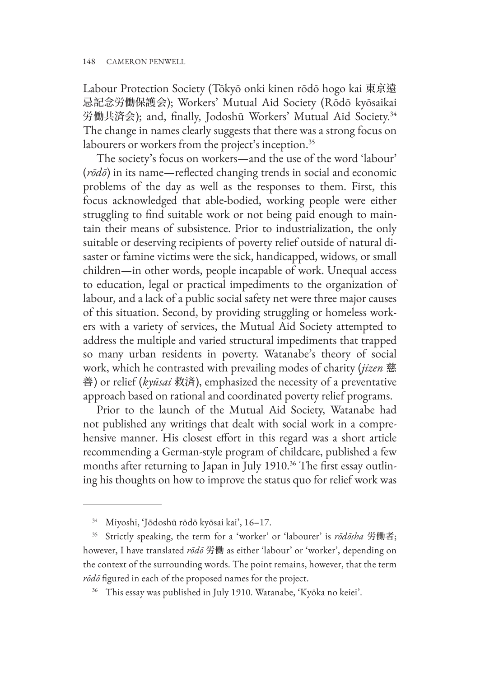Labour Protection Society (Tōkyō onki kinen rōdō hogo kai 東京遠 忌記念労働保護会); Workers' Mutual Aid Society (Rōdō kyōsaikai 労働共済会); and, finally, Jodoshū Workers' Mutual Aid Society.34 The change in names clearly suggests that there was a strong focus on labourers or workers from the project's inception.<sup>35</sup>

The society's focus on workers—and the use of the word 'labour' (*rōdō*) in its name—reflected changing trends in social and economic problems of the day as well as the responses to them. First, this focus acknowledged that able-bodied, working people were either struggling to find suitable work or not being paid enough to maintain their means of subsistence. Prior to industrialization, the only suitable or deserving recipients of poverty relief outside of natural disaster or famine victims were the sick, handicapped, widows, or small children—in other words, people incapable of work. Unequal access to education, legal or practical impediments to the organization of labour, and a lack of a public social safety net were three major causes of this situation. Second, by providing struggling or homeless workers with a variety of services, the Mutual Aid Society attempted to address the multiple and varied structural impediments that trapped so many urban residents in poverty. Watanabe's theory of social work, which he contrasted with prevailing modes of charity (*jizen* 慈 善) or relief (*kyūsai* 救済), emphasized the necessity of a preventative approach based on rational and coordinated poverty relief programs.

Prior to the launch of the Mutual Aid Society, Watanabe had not published any writings that dealt with social work in a comprehensive manner. His closest effort in this regard was a short article recommending a German-style program of childcare, published a few months after returning to Japan in July 1910.<sup>36</sup> The first essay outlining his thoughts on how to improve the status quo for relief work was

<sup>34</sup> Miyoshi, 'Jōdoshū rōdō kyōsai kai', 16–17.

<sup>35</sup> Strictly speaking, the term for a 'worker' or 'labourer' is *rōdōsha* 労働者; however, I have translated *rōdō* 労働 as either 'labour' or 'worker', depending on the context of the surrounding words. The point remains, however, that the term *rōdō* figured in each of the proposed names for the project.

<sup>36</sup> This essay was published in July 1910. Watanabe, 'Kyōka no keiei'.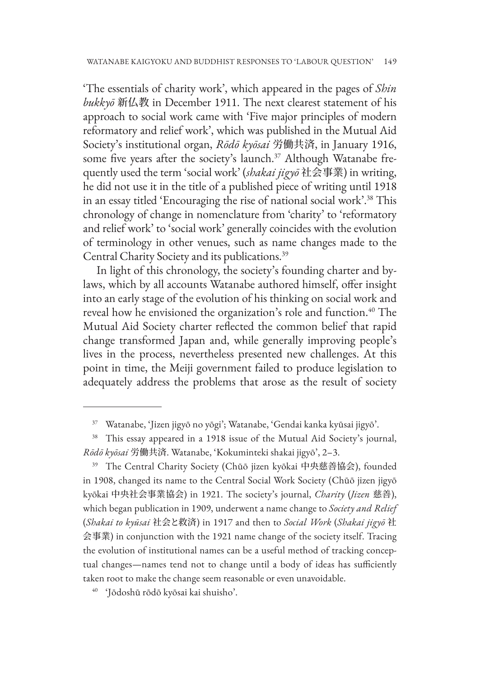'The essentials of charity work', which appeared in the pages of *Shin bukkyō* 新仏教 in December 1911. The next clearest statement of his approach to social work came with 'Five major principles of modern reformatory and relief work', which was published in the Mutual Aid Society's institutional organ, *Rōdō kyōsai* 労働共済, in January 1916, some five years after the society's launch.<sup>37</sup> Although Watanabe frequently used the term 'social work' (*shakai jigyō* 社会事業) in writing, he did not use it in the title of a published piece of writing until 1918 in an essay titled 'Encouraging the rise of national social work'.38 This chronology of change in nomenclature from 'charity' to 'reformatory and relief work' to 'social work' generally coincides with the evolution of terminology in other venues, such as name changes made to the Central Charity Society and its publications.39

In light of this chronology, the society's founding charter and bylaws, which by all accounts Watanabe authored himself, offer insight into an early stage of the evolution of his thinking on social work and reveal how he envisioned the organization's role and function.<sup>40</sup> The Mutual Aid Society charter reflected the common belief that rapid change transformed Japan and, while generally improving people's lives in the process, nevertheless presented new challenges. At this point in time, the Meiji government failed to produce legislation to adequately address the problems that arose as the result of society

<sup>39</sup> The Central Charity Society (Chūō jizen kyōkai 中央慈善協会), founded in 1908, changed its name to the Central Social Work Society (Chūō jizen jigyō kyōkai 中央社会事業協会) in 1921. The society's journal, *Charity* (*Jizen* 慈善), which began publication in 1909, underwent a name change to *Society and Relief* (*Shakai to kyūsai* 社会と救済) in 1917 and then to *Social Work* (*Shakai jigyō* 社 会事業) in conjunction with the 1921 name change of the society itself. Tracing the evolution of institutional names can be a useful method of tracking conceptual changes—names tend not to change until a body of ideas has sufficiently taken root to make the change seem reasonable or even unavoidable.

<sup>40</sup> 'Jōdoshū rōdō kyōsai kai shuisho'.

<sup>37</sup> Watanabe, 'Jizen jigyō no yōgi'; Watanabe, 'Gendai kanka kyūsai jigyō'.

<sup>&</sup>lt;sup>38</sup> This essay appeared in a 1918 issue of the Mutual Aid Society's journal, *Rōdō kyōsai* 労働共済. Watanabe, 'Kokuminteki shakai jigyō', 2–3.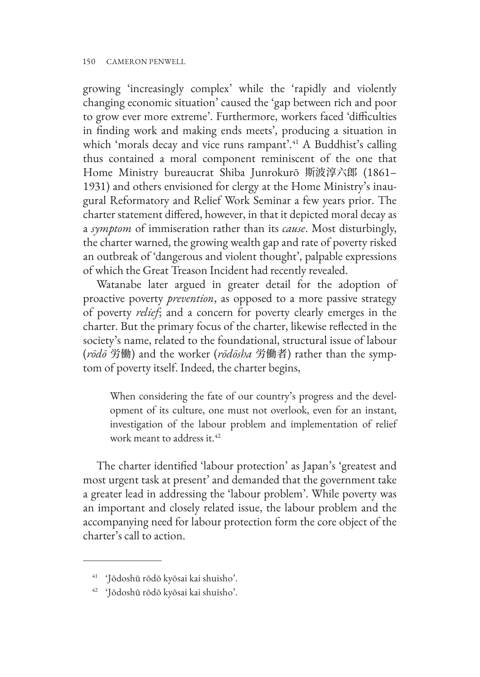growing 'increasingly complex' while the 'rapidly and violently changing economic situation' caused the 'gap between rich and poor to grow ever more extreme'. Furthermore, workers faced 'difficulties in finding work and making ends meets', producing a situation in which 'morals decay and vice runs rampant'.<sup>41</sup> A Buddhist's calling thus contained a moral component reminiscent of the one that Home Ministry bureaucrat Shiba Junrokurō 斯波淳六郎 (1861– 1931) and others envisioned for clergy at the Home Ministry's inaugural Reformatory and Relief Work Seminar a few years prior. The charter statement differed, however, in that it depicted moral decay as a *symptom* of immiseration rather than its *cause*. Most disturbingly, the charter warned, the growing wealth gap and rate of poverty risked an outbreak of 'dangerous and violent thought', palpable expressions of which the Great Treason Incident had recently revealed.

Watanabe later argued in greater detail for the adoption of proactive poverty *prevention*, as opposed to a more passive strategy of poverty *relief*; and a concern for poverty clearly emerges in the charter. But the primary focus of the charter, likewise reflected in the society's name, related to the foundational, structural issue of labour (*rōdō* 労働) and the worker (*rōdōsha* 労働者) rather than the symptom of poverty itself. Indeed, the charter begins,

When considering the fate of our country's progress and the development of its culture, one must not overlook, even for an instant, investigation of the labour problem and implementation of relief work meant to address it.<sup>42</sup>

The charter identified 'labour protection' as Japan's 'greatest and most urgent task at present' and demanded that the government take a greater lead in addressing the 'labour problem'. While poverty was an important and closely related issue, the labour problem and the accompanying need for labour protection form the core object of the charter's call to action.

<sup>41</sup> 'Jōdoshū rōdō kyōsai kai shuisho'.

<sup>42</sup> 'Jōdoshū rōdō kyōsai kai shuisho'.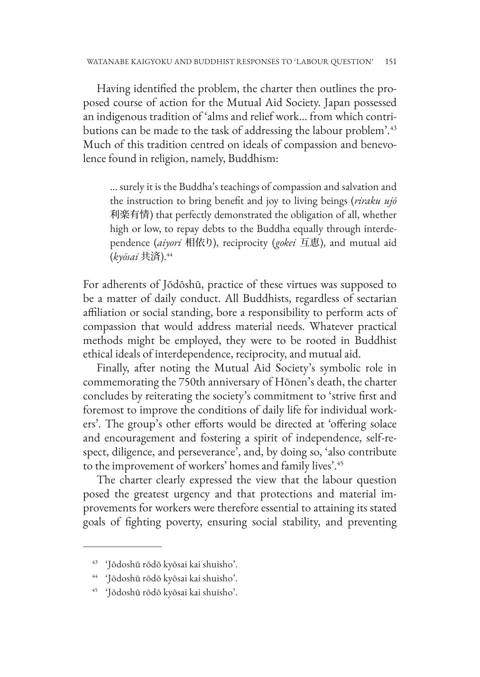Having identified the problem, the charter then outlines the proposed course of action for the Mutual Aid Society. Japan possessed an indigenous tradition of 'alms and relief work… from which contributions can be made to the task of addressing the labour problem'.<sup>43</sup> Much of this tradition centred on ideals of compassion and benevolence found in religion, namely, Buddhism:

… surely it is the Buddha's teachings of compassion and salvation and the instruction to bring benefit and joy to living beings (*riraku ujō* 利楽有情) that perfectly demonstrated the obligation of all, whether high or low, to repay debts to the Buddha equally through interdependence (*aiyori* 相依り), reciprocity (*gokei* 互恵), and mutual aid (*kyōsai* 共済).<sup>44</sup>

For adherents of Jōdōshū, practice of these virtues was supposed to be a matter of daily conduct. All Buddhists, regardless of sectarian affiliation or social standing, bore a responsibility to perform acts of compassion that would address material needs. Whatever practical methods might be employed, they were to be rooted in Buddhist ethical ideals of interdependence, reciprocity, and mutual aid.

Finally, after noting the Mutual Aid Society's symbolic role in commemorating the 750th anniversary of Hōnen's death, the charter concludes by reiterating the society's commitment to 'strive first and foremost to improve the conditions of daily life for individual workers'. The group's other efforts would be directed at 'offering solace and encouragement and fostering a spirit of independence, self-respect, diligence, and perseverance', and, by doing so, 'also contribute to the improvement of workers' homes and family lives'.<sup>45</sup>

The charter clearly expressed the view that the labour question posed the greatest urgency and that protections and material improvements for workers were therefore essential to attaining its stated goals of fighting poverty, ensuring social stability, and preventing

<sup>43</sup> 'Jōdoshū rōdō kyōsai kai shuisho'.

<sup>44</sup> 'Jōdoshū rōdō kyōsai kai shuisho'.

<sup>45</sup> 'Jōdoshū rōdō kyōsai kai shuisho'.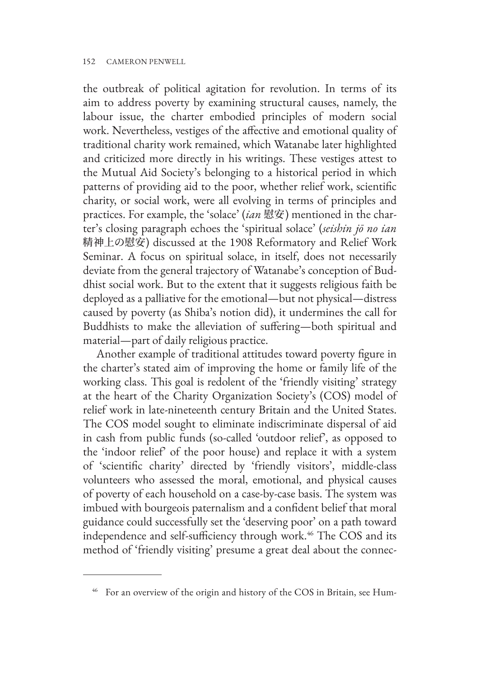the outbreak of political agitation for revolution. In terms of its aim to address poverty by examining structural causes, namely, the labour issue, the charter embodied principles of modern social work. Nevertheless, vestiges of the affective and emotional quality of traditional charity work remained, which Watanabe later highlighted and criticized more directly in his writings. These vestiges attest to the Mutual Aid Society's belonging to a historical period in which patterns of providing aid to the poor, whether relief work, scientific charity, or social work, were all evolving in terms of principles and practices. For example, the 'solace' (*ian* 慰安) mentioned in the charter's closing paragraph echoes the 'spiritual solace' (*seishin jō no ian* 精神上の慰安) discussed at the 1908 Reformatory and Relief Work Seminar. A focus on spiritual solace, in itself, does not necessarily deviate from the general trajectory of Watanabe's conception of Buddhist social work. But to the extent that it suggests religious faith be deployed as a palliative for the emotional—but not physical—distress caused by poverty (as Shiba's notion did), it undermines the call for Buddhists to make the alleviation of suffering—both spiritual and material—part of daily religious practice.

Another example of traditional attitudes toward poverty figure in the charter's stated aim of improving the home or family life of the working class. This goal is redolent of the 'friendly visiting' strategy at the heart of the Charity Organization Society's (COS) model of relief work in late-nineteenth century Britain and the United States. The COS model sought to eliminate indiscriminate dispersal of aid in cash from public funds (so-called 'outdoor relief', as opposed to the 'indoor relief' of the poor house) and replace it with a system of 'scientific charity' directed by 'friendly visitors', middle-class volunteers who assessed the moral, emotional, and physical causes of poverty of each household on a case-by-case basis. The system was imbued with bourgeois paternalism and a confident belief that moral guidance could successfully set the 'deserving poor' on a path toward independence and self-sufficiency through work.<sup>46</sup> The COS and its method of 'friendly visiting' presume a great deal about the connec-

<sup>&</sup>lt;sup>46</sup> For an overview of the origin and history of the COS in Britain, see Hum-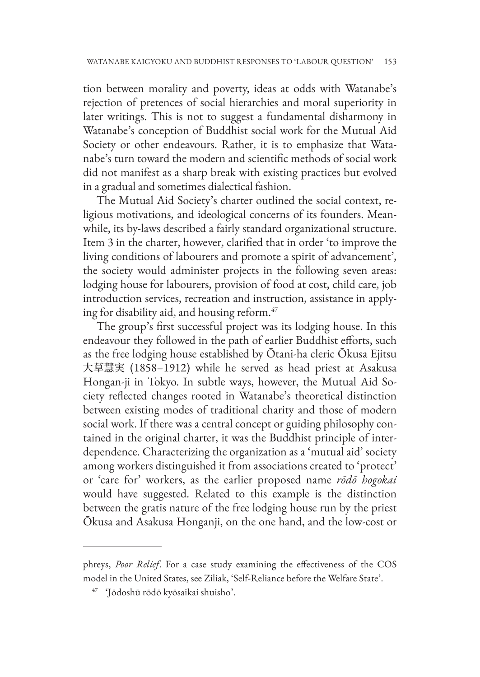tion between morality and poverty, ideas at odds with Watanabe's rejection of pretences of social hierarchies and moral superiority in later writings. This is not to suggest a fundamental disharmony in Watanabe's conception of Buddhist social work for the Mutual Aid Society or other endeavours. Rather, it is to emphasize that Watanabe's turn toward the modern and scientific methods of social work did not manifest as a sharp break with existing practices but evolved in a gradual and sometimes dialectical fashion.

The Mutual Aid Society's charter outlined the social context, religious motivations, and ideological concerns of its founders. Meanwhile, its by-laws described a fairly standard organizational structure. Item 3 in the charter, however, clarified that in order 'to improve the living conditions of labourers and promote a spirit of advancement', the society would administer projects in the following seven areas: lodging house for labourers, provision of food at cost, child care, job introduction services, recreation and instruction, assistance in applying for disability aid, and housing reform.<sup>47</sup>

The group's first successful project was its lodging house. In this endeavour they followed in the path of earlier Buddhist efforts, such as the free lodging house established by Ōtani-ha cleric Ōkusa Ejitsu 大草慧実 (1858–1912) while he served as head priest at Asakusa Hongan-ji in Tokyo. In subtle ways, however, the Mutual Aid Society reflected changes rooted in Watanabe's theoretical distinction between existing modes of traditional charity and those of modern social work. If there was a central concept or guiding philosophy contained in the original charter, it was the Buddhist principle of interdependence. Characterizing the organization as a 'mutual aid' society among workers distinguished it from associations created to 'protect' or 'care for' workers, as the earlier proposed name *rōdō hogokai* would have suggested. Related to this example is the distinction between the gratis nature of the free lodging house run by the priest Ōkusa and Asakusa Honganji, on the one hand, and the low-cost or

phreys, *Poor Relief*. For a case study examining the effectiveness of the COS model in the United States, see Ziliak, 'Self-Reliance before the Welfare State'.

<sup>47</sup> 'Jōdoshū rōdō kyōsaikai shuisho'.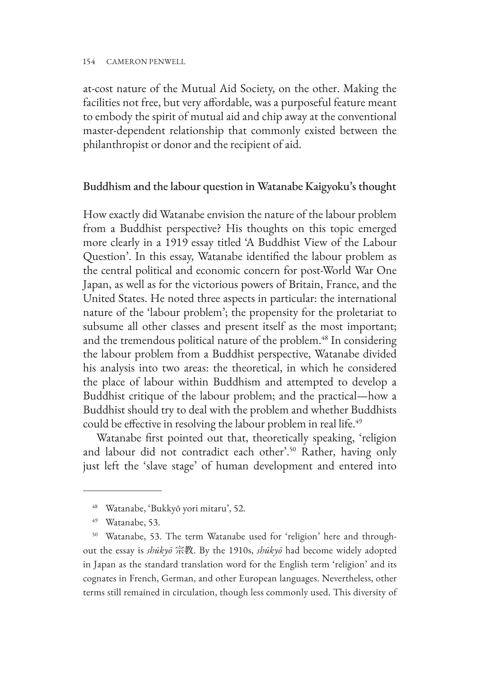at-cost nature of the Mutual Aid Society, on the other. Making the facilities not free, but very affordable, was a purposeful feature meant to embody the spirit of mutual aid and chip away at the conventional master-dependent relationship that commonly existed between the philanthropist or donor and the recipient of aid.

### Buddhism and the labour question in Watanabe Kaigyoku's thought

How exactly did Watanabe envision the nature of the labour problem from a Buddhist perspective? His thoughts on this topic emerged more clearly in a 1919 essay titled 'A Buddhist View of the Labour Question'. In this essay, Watanabe identified the labour problem as the central political and economic concern for post-World War One Japan, as well as for the victorious powers of Britain, France, and the United States. He noted three aspects in particular: the international nature of the 'labour problem'; the propensity for the proletariat to subsume all other classes and present itself as the most important; and the tremendous political nature of the problem.<sup>48</sup> In considering the labour problem from a Buddhist perspective, Watanabe divided his analysis into two areas: the theoretical, in which he considered the place of labour within Buddhism and attempted to develop a Buddhist critique of the labour problem; and the practical—how a Buddhist should try to deal with the problem and whether Buddhists could be effective in resolving the labour problem in real life.<sup>49</sup>

Watanabe first pointed out that, theoretically speaking, 'religion and labour did not contradict each other'.<sup>50</sup> Rather, having only just left the 'slave stage' of human development and entered into

<sup>48</sup> Watanabe, 'Bukkyō yori mitaru', 52.

<sup>49</sup> Watanabe, 53.

<sup>50</sup> Watanabe, 53. The term Watanabe used for 'religion' here and throughout the essay is *shūkyō* 宗教. By the 1910s, *shūkyō* had become widely adopted in Japan as the standard translation word for the English term 'religion' and its cognates in French, German, and other European languages. Nevertheless, other terms still remained in circulation, though less commonly used. This diversity of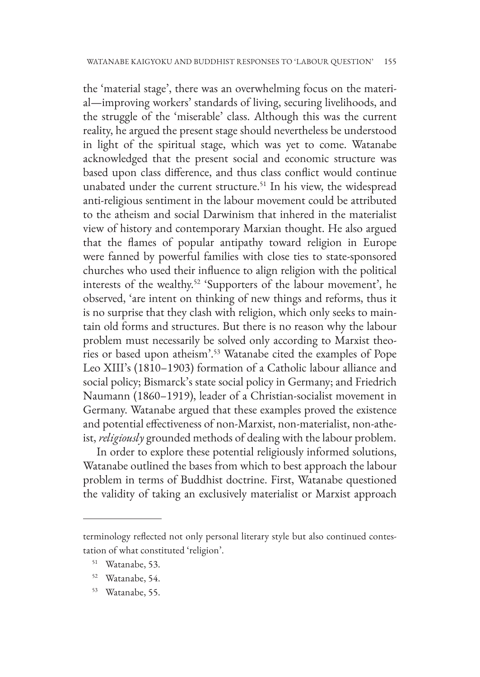the 'material stage', there was an overwhelming focus on the material—improving workers' standards of living, securing livelihoods, and the struggle of the 'miserable' class. Although this was the current reality, he argued the present stage should nevertheless be understood in light of the spiritual stage, which was yet to come. Watanabe acknowledged that the present social and economic structure was based upon class difference, and thus class conflict would continue unabated under the current structure.<sup>51</sup> In his view, the widespread anti-religious sentiment in the labour movement could be attributed to the atheism and social Darwinism that inhered in the materialist view of history and contemporary Marxian thought. He also argued that the flames of popular antipathy toward religion in Europe were fanned by powerful families with close ties to state-sponsored churches who used their influence to align religion with the political interests of the wealthy.52 'Supporters of the labour movement', he observed, 'are intent on thinking of new things and reforms, thus it is no surprise that they clash with religion, which only seeks to maintain old forms and structures. But there is no reason why the labour problem must necessarily be solved only according to Marxist theories or based upon atheism'.53 Watanabe cited the examples of Pope Leo XIII's (1810–1903) formation of a Catholic labour alliance and social policy; Bismarck's state social policy in Germany; and Friedrich Naumann (1860–1919), leader of a Christian-socialist movement in Germany. Watanabe argued that these examples proved the existence and potential effectiveness of non-Marxist, non-materialist, non-atheist, *religiously* grounded methods of dealing with the labour problem.

In order to explore these potential religiously informed solutions, Watanabe outlined the bases from which to best approach the labour problem in terms of Buddhist doctrine. First, Watanabe questioned the validity of taking an exclusively materialist or Marxist approach

- <sup>52</sup> Watanabe, 54.
- <sup>53</sup> Watanabe, 55.

terminology reflected not only personal literary style but also continued contestation of what constituted 'religion'.

<sup>51</sup> Watanabe, 53.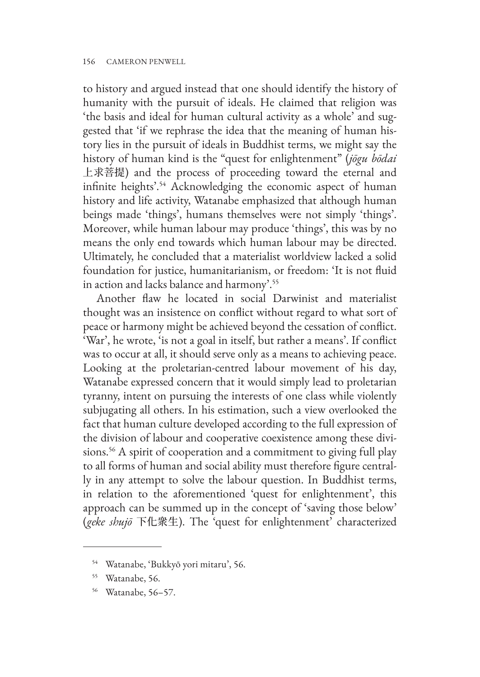to history and argued instead that one should identify the history of humanity with the pursuit of ideals. He claimed that religion was 'the basis and ideal for human cultural activity as a whole' and suggested that 'if we rephrase the idea that the meaning of human history lies in the pursuit of ideals in Buddhist terms, we might say the history of human kind is the "quest for enlightenment" (*jōgu bōdai* 上求菩提) and the process of proceeding toward the eternal and infinite heights'.<sup>54</sup> Acknowledging the economic aspect of human history and life activity, Watanabe emphasized that although human beings made 'things', humans themselves were not simply 'things'. Moreover, while human labour may produce 'things', this was by no means the only end towards which human labour may be directed. Ultimately, he concluded that a materialist worldview lacked a solid foundation for justice, humanitarianism, or freedom: 'It is not fluid in action and lacks balance and harmony'.55

Another flaw he located in social Darwinist and materialist thought was an insistence on conflict without regard to what sort of peace or harmony might be achieved beyond the cessation of conflict. 'War', he wrote, 'is not a goal in itself, but rather a means'. If conflict was to occur at all, it should serve only as a means to achieving peace. Looking at the proletarian-centred labour movement of his day, Watanabe expressed concern that it would simply lead to proletarian tyranny, intent on pursuing the interests of one class while violently subjugating all others. In his estimation, such a view overlooked the fact that human culture developed according to the full expression of the division of labour and cooperative coexistence among these divisions.<sup>56</sup> A spirit of cooperation and a commitment to giving full play to all forms of human and social ability must therefore figure centrally in any attempt to solve the labour question. In Buddhist terms, in relation to the aforementioned 'quest for enlightenment', this approach can be summed up in the concept of 'saving those below' (*geke shujō* 下化衆生). The 'quest for enlightenment' characterized

<sup>54</sup> Watanabe, 'Bukkyō yori mitaru', 56.

<sup>55</sup> Watanabe, 56.

<sup>56</sup> Watanabe, 56–57.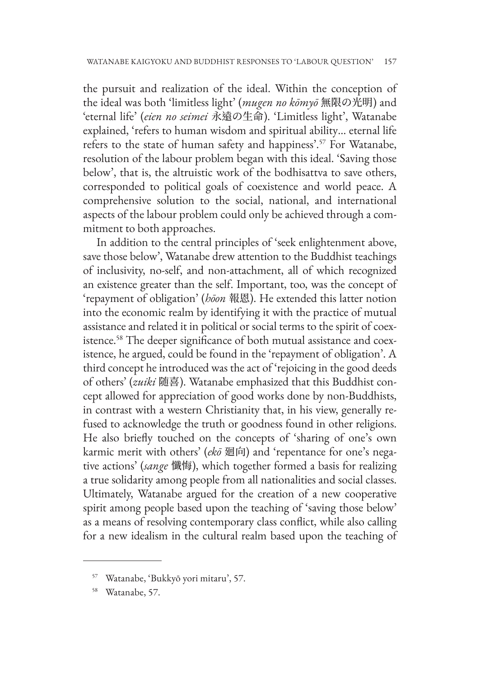the pursuit and realization of the ideal. Within the conception of the ideal was both 'limitless light' (*mugen no kōmyō* 無限の光明) and 'eternal life' (*eien no seimei* 永遠の生命). 'Limitless light', Watanabe explained, 'refers to human wisdom and spiritual ability... eternal life refers to the state of human safety and happiness'.<sup>57</sup> For Watanabe, resolution of the labour problem began with this ideal. 'Saving those below', that is, the altruistic work of the bodhisattva to save others, corresponded to political goals of coexistence and world peace. A comprehensive solution to the social, national, and international aspects of the labour problem could only be achieved through a commitment to both approaches.

In addition to the central principles of 'seek enlightenment above, save those below', Watanabe drew attention to the Buddhist teachings of inclusivity, no-self, and non-attachment, all of which recognized an existence greater than the self. Important, too, was the concept of 'repayment of obligation' (*hōon* 報恩). He extended this latter notion into the economic realm by identifying it with the practice of mutual assistance and related it in political or social terms to the spirit of coexistence.58 The deeper significance of both mutual assistance and coexistence, he argued, could be found in the 'repayment of obligation'. A third concept he introduced was the act of 'rejoicing in the good deeds of others' (*zuiki* 随喜). Watanabe emphasized that this Buddhist concept allowed for appreciation of good works done by non-Buddhists, in contrast with a western Christianity that, in his view, generally refused to acknowledge the truth or goodness found in other religions. He also briefly touched on the concepts of 'sharing of one's own karmic merit with others' (*ekō* 廻向) and 'repentance for one's negative actions' (*sange* 懺悔), which together formed a basis for realizing a true solidarity among people from all nationalities and social classes. Ultimately, Watanabe argued for the creation of a new cooperative spirit among people based upon the teaching of 'saving those below' as a means of resolving contemporary class conflict, while also calling for a new idealism in the cultural realm based upon the teaching of

<sup>57</sup> Watanabe, 'Bukkyō yori mitaru', 57.

<sup>58</sup> Watanabe, 57.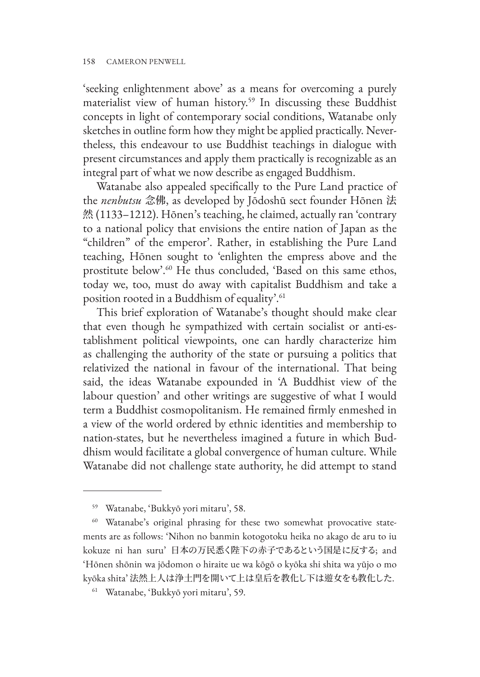'seeking enlightenment above' as a means for overcoming a purely materialist view of human history.59 In discussing these Buddhist concepts in light of contemporary social conditions, Watanabe only sketches in outline form how they might be applied practically. Nevertheless, this endeavour to use Buddhist teachings in dialogue with present circumstances and apply them practically is recognizable as an integral part of what we now describe as engaged Buddhism.

Watanabe also appealed specifically to the Pure Land practice of the *nenbutsu* 念佛, as developed by Jōdoshū sect founder Hōnen 法 然 (1133–1212). Hōnen's teaching, he claimed, actually ran 'contrary to a national policy that envisions the entire nation of Japan as the "children" of the emperor'. Rather, in establishing the Pure Land teaching, Hōnen sought to 'enlighten the empress above and the prostitute below'.60 He thus concluded, 'Based on this same ethos, today we, too, must do away with capitalist Buddhism and take a position rooted in a Buddhism of equality'.<sup>61</sup>

This brief exploration of Watanabe's thought should make clear that even though he sympathized with certain socialist or anti-establishment political viewpoints, one can hardly characterize him as challenging the authority of the state or pursuing a politics that relativized the national in favour of the international. That being said, the ideas Watanabe expounded in 'A Buddhist view of the labour question' and other writings are suggestive of what I would term a Buddhist cosmopolitanism. He remained firmly enmeshed in a view of the world ordered by ethnic identities and membership to nation-states, but he nevertheless imagined a future in which Buddhism would facilitate a global convergence of human culture. While Watanabe did not challenge state authority, he did attempt to stand

<sup>59</sup> Watanabe, 'Bukkyō yori mitaru', 58.

<sup>&</sup>lt;sup>60</sup> Watanabe's original phrasing for these two somewhat provocative statements are as follows: 'Nihon no banmin kotogotoku heika no akago de aru to iu kokuze ni han suru' 日本の万民悉く陛下の赤子であるという国是に反する; and 'Hōnen shōnin wa jōdomon o hiraite ue wa kōgō o kyōka shi shita wa yūjo o mo kyōka shita' 法然上人は浄土門を開いて上は皇后を教化し下は遊女をも教化した.

<sup>61</sup> Watanabe, 'Bukkyō yori mitaru', 59.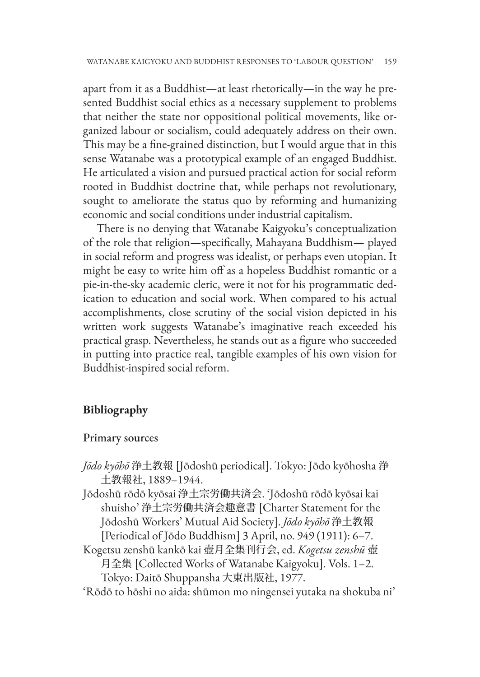apart from it as a Buddhist—at least rhetorically—in the way he presented Buddhist social ethics as a necessary supplement to problems that neither the state nor oppositional political movements, like organized labour or socialism, could adequately address on their own. This may be a fine-grained distinction, but I would argue that in this sense Watanabe was a prototypical example of an engaged Buddhist. He articulated a vision and pursued practical action for social reform rooted in Buddhist doctrine that, while perhaps not revolutionary, sought to ameliorate the status quo by reforming and humanizing economic and social conditions under industrial capitalism.

There is no denying that Watanabe Kaigyoku's conceptualization of the role that religion—specifically, Mahayana Buddhism— played in social reform and progress was idealist, or perhaps even utopian. It might be easy to write him off as a hopeless Buddhist romantic or a pie-in-the-sky academic cleric, were it not for his programmatic dedication to education and social work. When compared to his actual accomplishments, close scrutiny of the social vision depicted in his written work suggests Watanabe's imaginative reach exceeded his practical grasp. Nevertheless, he stands out as a figure who succeeded in putting into practice real, tangible examples of his own vision for Buddhist-inspired social reform.

### **Bibliography**

#### Primary sources

- *Jōdo kyōhō* 浄土教報 [Jōdoshū periodical]. Tokyo: Jōdo kyōhosha 浄 土教報社, 1889–1944.
- Jōdoshū rōdō kyōsai 浄土宗労働共済会. 'Jōdoshū rōdō kyōsai kai shuisho' 浄土宗労働共済会趣意書 [Charter Statement for the Jōdoshū Workers' Mutual Aid Society]. *Jōdo kyōhō* 浄土教報 [Periodical of Jōdo Buddhism] 3 April, no. 949 (1911): 6–7.
- Kogetsu zenshū kankō kai 壺月全集刊行会, ed. *Kogetsu zenshū* 壺 月全集 [Collected Works of Watanabe Kaigyoku]. Vols. 1–2.

Tokyo: Daitō Shuppansha 大東出版社, 1977.

'Rōdō to hōshi no aida: shūmon mo ningensei yutaka na shokuba ni'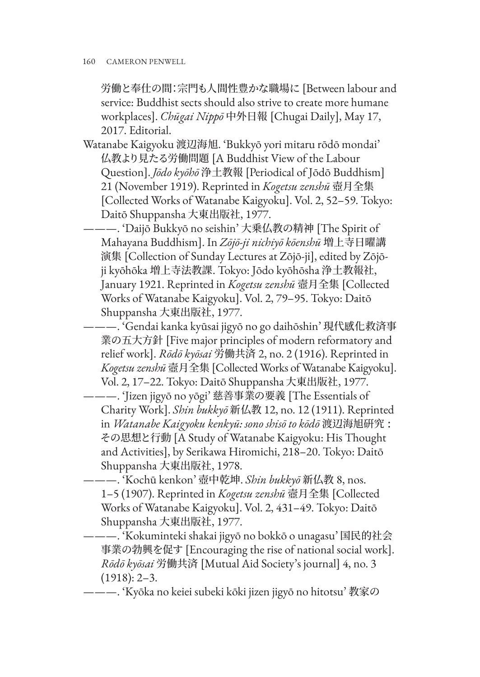労働と奉仕の間:宗門も人間性豊かな職場に [Between labour and service: Buddhist sects should also strive to create more humane workplaces]. *Chūgai Nippō* 中外日報 [Chugai Daily], May 17, 2017. Editorial.

Watanabe Kaigyoku 渡辺海旭. 'Bukkyō yori mitaru rōdō mondai' 仏教より見たる労働問題 [A Buddhist View of the Labour Question]. *Jōdo kyōhō* 浄土教報 [Periodical of Jōdō Buddhism] 21 (November 1919). Reprinted in *Kogetsu zenshū* 壺月全集 [Collected Works of Watanabe Kaigyoku]. Vol. 2, 52–59. Tokyo: Daitō Shuppansha 大東出版社, 1977.

———. 'Daijō Bukkyō no seishin' 大乗仏教の精神 [The Spirit of Mahayana Buddhism]. In *Zōjō-ji nichiyō kōenshū* 増上寺日曜講 演集 [Collection of Sunday Lectures at Zōjō-ji], edited by Zōjōji kyōhōka 増上寺法教課. Tokyo: Jōdo kyōhōsha 浄土教報社, January 1921. Reprinted in *Kogetsu zenshū* 壼月全集 [Collected Works of Watanabe Kaigyoku]. Vol. 2, 79–95. Tokyo: Daitō Shuppansha 大東出版社, 1977.

———. 'Gendai kanka kyūsai jigyō no go daihōshin' 現代感化救済事 業の五大方針 [Five major principles of modern reformatory and relief work]. *Rōdō kyōsai* 労働共済 2, no. 2 (1916). Reprinted in *Kogetsu zenshū* 壼月全集 [Collected Works of Watanabe Kaigyoku]. Vol. 2, 17–22. Tokyo: Daitō Shuppansha 大東出版社, 1977.

———. 'Jizen jigyō no yōgi' 慈善事業の要義 [The Essentials of Charity Work]. *Shin bukkyō* 新仏教 12, no. 12 (1911). Reprinted in *Watanabe Kaigyoku kenkyū: sono shisō to kōdō* 渡辺海旭硏究 : その思想と行動 [A Study of Watanabe Kaigyoku: His Thought and Activities], by Serikawa Hiromichi, 218–20. Tokyo: Daitō Shuppansha 大東出版社, 1978.

———. 'Kochū kenkon' 壺中乾坤. *Shin bukkyō* 新仏教 8, nos. 1–5 (1907). Reprinted in *Kogetsu zenshū* 壼月全集 [Collected Works of Watanabe Kaigyoku]. Vol. 2, 431–49. Tokyo: Daitō Shuppansha 大東出版社, 1977.

———. 'Kokuminteki shakai jigyō no bokkō o unagasu' 国民的社会 事業の勃興を促す [Encouraging the rise of national social work]. *Rōdō kyōsai* 労働共済 [Mutual Aid Society's journal] 4, no. 3 (1918): 2–3.

———. 'Kyōka no keiei subeki kōki jizen jigyō no hitotsu' 教家の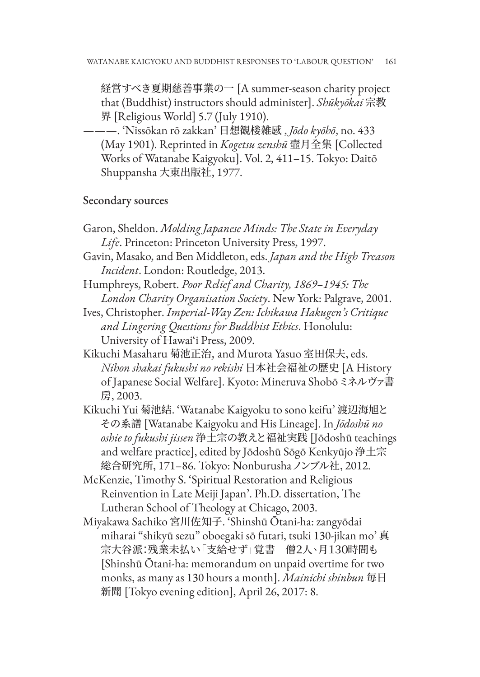経営すべき夏期慈善事業の一 [A summer-season charity project that (Buddhist) instructors should administer]. *Shūkyōkai* 宗教 界 [Religious World] 5.7 (July 1910).

———. 'Nissōkan rō zakkan' 日想観楼雑感 , *Jōdo kyōhō*, no. 433 (May 1901). Reprinted in *Kogetsu zenshū* 壼月全集 [Collected Works of Watanabe Kaigyoku]. Vol. 2, 411–15. Tokyo: Daitō Shuppansha 大東出版社, 1977.

#### Secondary sources

- Garon, Sheldon. *Molding Japanese Minds: The State in Everyday Life*. Princeton: Princeton University Press, 1997.
- Gavin, Masako, and Ben Middleton, eds. *Japan and the High Treason Incident*. London: Routledge, 2013.
- Humphreys, Robert. *Poor Relief and Charity, 1869–1945: The London Charity Organisation Society*. New York: Palgrave, 2001.
- Ives, Christopher. *Imperial-Way Zen: Ichikawa Hakugen's Critique and Lingering Questions for Buddhist Ethics*. Honolulu: University of Hawai'i Press, 2009.
- Kikuchi Masaharu 菊池正治, and Murota Yasuo 室田保夫, eds. *Nihon shakai fukushi no rekishi* 日本社会福祉の歴史 [A History of Japanese Social Welfare]. Kyoto: Mineruva Shobō ミネルヴァ書 房, 2003.
- Kikuchi Yui 菊池結. 'Watanabe Kaigyoku to sono keifu' 渡辺海旭と その系譜 [Watanabe Kaigyoku and His Lineage]. In *Jōdoshū no oshie to fukushi jissen* 浄土宗の教えと福祉実践 [Jōdoshū teachings and welfare practice], edited by Jōdoshū Sōgō Kenkyūjo 浄土宗 総合研究所, 171–86. Tokyo: Nonburusha ノンブル社, 2012.
- McKenzie, Timothy S. 'Spiritual Restoration and Religious Reinvention in Late Meiji Japan'. Ph.D. dissertation, The Lutheran School of Theology at Chicago, 2003.
- Miyakawa Sachiko 宮川佐知子. 'Shinshū Ōtani-ha: zangyōdai miharai "shikyū sezu" oboegaki sō futari, tsuki 130-jikan mo' 真 宗大谷派:残業未払い「支給せず」覚書 僧2人、月130時間も [Shinshū Ōtani-ha: memorandum on unpaid overtime for two monks, as many as 130 hours a month]. *Mainichi shinbun* 毎日 新聞 [Tokyo evening edition], April 26, 2017: 8.